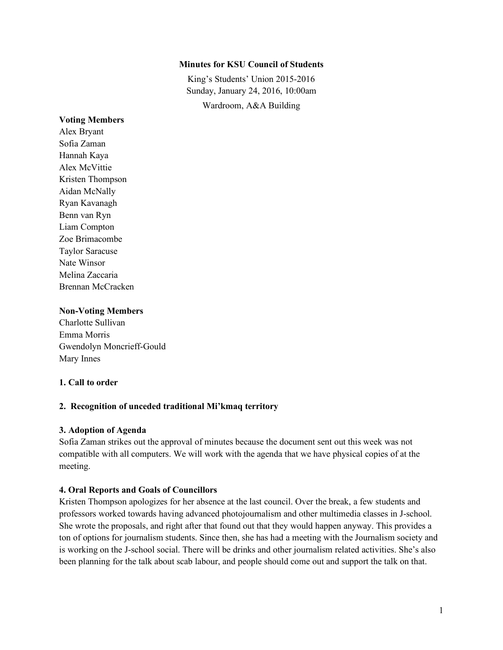### **Minutes for KSU Council of Students**

King's Students' Union 2015-2016 Sunday, January 24, 2016, 10:00am Wardroom, A&A Building

#### **Voting Members**

Alex Bryant Sofia Zaman Hannah Kaya Alex McVittie Kristen Thompson Aidan McNally Ryan Kavanagh Benn van Ryn Liam Compton Zoe Brimacombe Taylor Saracuse Nate Winsor Melina Zaccaria Brennan McCracken

#### **Non-Voting Members**

Charlotte Sullivan Emma Morris Gwendolyn Moncrieff-Gould Mary Innes

### **1. Call to order**

### **2. Recognition of unceded traditional Mi'kmaq territory**

### **3. Adoption of Agenda**

Sofia Zaman strikes out the approval of minutes because the document sent out this week was not compatible with all computers. We will work with the agenda that we have physical copies of at the meeting.

### **4. Oral Reports and Goals of Councillors**

Kristen Thompson apologizes for her absence at the last council. Over the break, a few students and professors worked towards having advanced photojournalism and other multimedia classes in J-school. She wrote the proposals, and right after that found out that they would happen anyway. This provides a ton of options for journalism students. Since then, she has had a meeting with the Journalism society and is working on the J-school social. There will be drinks and other journalism related activities. She's also been planning for the talk about scab labour, and people should come out and support the talk on that.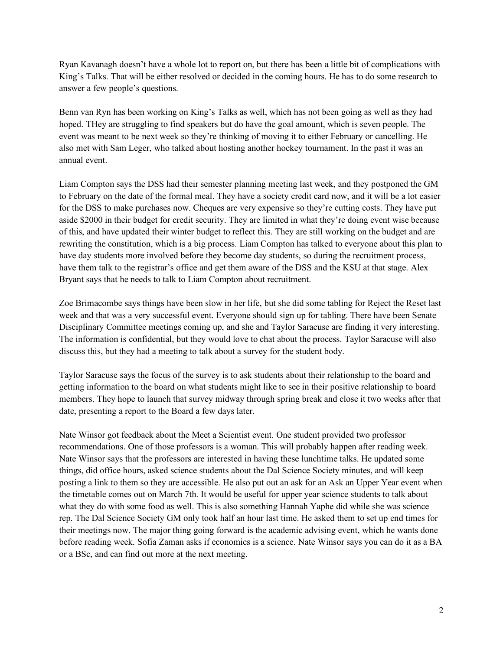Ryan Kavanagh doesn't have a whole lot to report on, but there has been a little bit of complications with King's Talks. That will be either resolved or decided in the coming hours. He has to do some research to answer a few people's questions.

Benn van Ryn has been working on King's Talks as well, which has not been going as well as they had hoped. THey are struggling to find speakers but do have the goal amount, which is seven people. The event was meant to be next week so they're thinking of moving it to either February or cancelling. He also met with Sam Leger, who talked about hosting another hockey tournament. In the past it was an annual event.

Liam Compton says the DSS had their semester planning meeting last week, and they postponed the GM to February on the date of the formal meal. They have a society credit card now, and it will be a lot easier for the DSS to make purchases now. Cheques are very expensive so they're cutting costs. They have put aside \$2000 in their budget for credit security. They are limited in what they're doing event wise because of this, and have updated their winter budget to reflect this. They are still working on the budget and are rewriting the constitution, which is a big process. Liam Compton has talked to everyone about this plan to have day students more involved before they become day students, so during the recruitment process, have them talk to the registrar's office and get them aware of the DSS and the KSU at that stage. Alex Bryant says that he needs to talk to Liam Compton about recruitment.

Zoe Brimacombe says things have been slow in her life, but she did some tabling for Reject the Reset last week and that was a very successful event. Everyone should sign up for tabling. There have been Senate Disciplinary Committee meetings coming up, and she and Taylor Saracuse are finding it very interesting. The information is confidential, but they would love to chat about the process. Taylor Saracuse will also discuss this, but they had a meeting to talk about a survey for the student body.

Taylor Saracuse says the focus of the survey is to ask students about their relationship to the board and getting information to the board on what students might like to see in their positive relationship to board members. They hope to launch that survey midway through spring break and close it two weeks after that date, presenting a report to the Board a few days later.

Nate Winsor got feedback about the Meet a Scientist event. One student provided two professor recommendations. One of those professors is a woman. This will probably happen after reading week. Nate Winsor says that the professors are interested in having these lunchtime talks. He updated some things, did office hours, asked science students about the Dal Science Society minutes, and will keep posting a link to them so they are accessible. He also put out an ask for an Ask an Upper Year event when the timetable comes out on March 7th. It would be useful for upper year science students to talk about what they do with some food as well. This is also something Hannah Yaphe did while she was science rep. The Dal Science Society GM only took half an hour last time. He asked them to set up end times for their meetings now. The major thing going forward is the academic advising event, which he wants done before reading week. Sofia Zaman asks if economics is a science. Nate Winsor says you can do it as a BA or a BSc, and can find out more at the next meeting.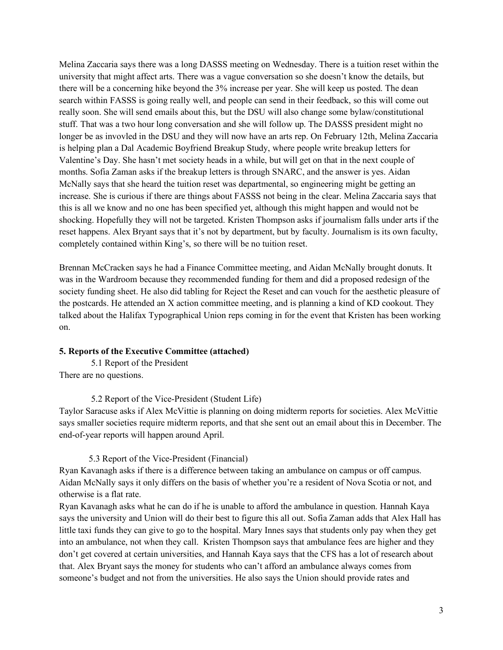Melina Zaccaria says there was a long DASSS meeting on Wednesday. There is a tuition reset within the university that might affect arts. There was a vague conversation so she doesn't know the details, but there will be a concerning hike beyond the 3% increase per year. She will keep us posted. The dean search within FASSS is going really well, and people can send in their feedback, so this will come out really soon. She will send emails about this, but the DSU will also change some bylaw/constitutional stuff. That was a two hour long conversation and she will follow up. The DASSS president might no longer be as invovled in the DSU and they will now have an arts rep. On February 12th, Melina Zaccaria is helping plan a Dal Academic Boyfriend Breakup Study, where people write breakup letters for Valentine's Day. She hasn't met society heads in a while, but will get on that in the next couple of months. Sofia Zaman asks if the breakup letters is through SNARC, and the answer is yes. Aidan McNally says that she heard the tuition reset was departmental, so engineering might be getting an increase. She is curious if there are things about FASSS not being in the clear. Melina Zaccaria says that this is all we know and no one has been specified yet, although this might happen and would not be shocking. Hopefully they will not be targeted. Kristen Thompson asks if journalism falls under arts if the reset happens. Alex Bryant says that it's not by department, but by faculty. Journalism is its own faculty, completely contained within King's, so there will be no tuition reset.

Brennan McCracken says he had a Finance Committee meeting, and Aidan McNally brought donuts. It was in the Wardroom because they recommended funding for them and did a proposed redesign of the society funding sheet. He also did tabling for Reject the Reset and can vouch for the aesthetic pleasure of the postcards. He attended an X action committee meeting, and is planning a kind of KD cookout. They talked about the Halifax Typographical Union reps coming in for the event that Kristen has been working on.

### **5. Reports of the Executive Committee (attached)**

5.1 Report of the President There are no questions.

5.2 Report of the Vice-President (Student Life)

Taylor Saracuse asks if Alex McVittie is planning on doing midterm reports for societies. Alex McVittie says smaller societies require midterm reports, and that she sent out an email about this in December. The end-of-year reports will happen around April.

#### 5.3 Report of the Vice-President (Financial)

Ryan Kavanagh asks if there is a difference between taking an ambulance on campus or off campus. Aidan McNally says it only differs on the basis of whether you're a resident of Nova Scotia or not, and otherwise is a flat rate.

Ryan Kavanagh asks what he can do if he is unable to afford the ambulance in question. Hannah Kaya says the university and Union will do their best to figure this all out. Sofia Zaman adds that Alex Hall has little taxi funds they can give to go to the hospital. Mary Innes says that students only pay when they get into an ambulance, not when they call. Kristen Thompson says that ambulance fees are higher and they don't get covered at certain universities, and Hannah Kaya says that the CFS has a lot of research about that. Alex Bryant says the money for students who can't afford an ambulance always comes from someone's budget and not from the universities. He also says the Union should provide rates and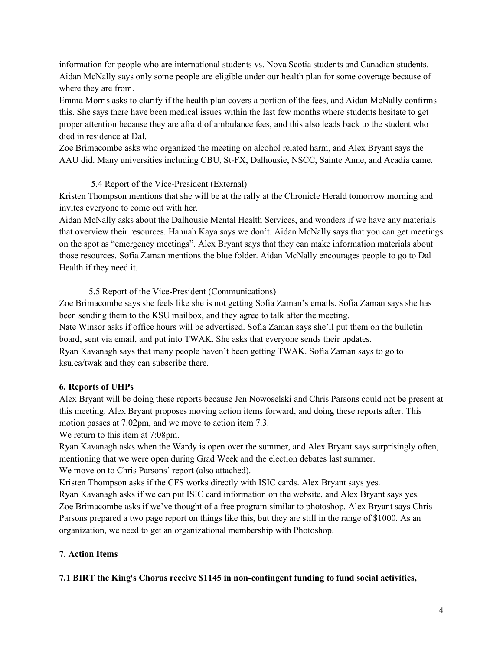information for people who are international students vs. Nova Scotia students and Canadian students. Aidan McNally says only some people are eligible under our health plan for some coverage because of where they are from.

Emma Morris asks to clarify if the health plan covers a portion of the fees, and Aidan McNally confirms this. She says there have been medical issues within the last few months where students hesitate to get proper attention because they are afraid of ambulance fees, and this also leads back to the student who died in residence at Dal.

Zoe Brimacombe asks who organized the meeting on alcohol related harm, and Alex Bryant says the AAU did. Many universities including CBU, St-FX, Dalhousie, NSCC, Sainte Anne, and Acadia came.

### 5.4 Report of the Vice-President (External)

Kristen Thompson mentions that she will be at the rally at the Chronicle Herald tomorrow morning and invites everyone to come out with her.

Aidan McNally asks about the Dalhousie Mental Health Services, and wonders if we have any materials that overview their resources. Hannah Kaya says we don't. Aidan McNally says that you can get meetings on the spot as "emergency meetings". Alex Bryant says that they can make information materials about those resources. Sofia Zaman mentions the blue folder. Aidan McNally encourages people to go to Dal Health if they need it.

5.5 Report of the Vice-President (Communications)

Zoe Brimacombe says she feels like she is not getting Sofia Zaman's emails. Sofia Zaman says she has been sending them to the KSU mailbox, and they agree to talk after the meeting. Nate Winsor asks if office hours will be advertised. Sofia Zaman says she'll put them on the bulletin board, sent via email, and put into TWAK. She asks that everyone sends their updates. Ryan Kavanagh says that many people haven't been getting TWAK. Sofia Zaman says to go to ksu.ca/twak and they can subscribe there.

### **6. Reports of UHPs**

Alex Bryant will be doing these reports because Jen Nowoselski and Chris Parsons could not be present at this meeting. Alex Bryant proposes moving action items forward, and doing these reports after. This motion passes at 7:02pm, and we move to action item 7.3.

We return to this item at 7:08pm.

Ryan Kavanagh asks when the Wardy is open over the summer, and Alex Bryant says surprisingly often, mentioning that we were open during Grad Week and the election debates last summer. We move on to Chris Parsons' report (also attached).

Kristen Thompson asks if the CFS works directly with ISIC cards. Alex Bryant says yes.

Ryan Kavanagh asks if we can put ISIC card information on the website, and Alex Bryant says yes. Zoe Brimacombe asks if we've thought of a free program similar to photoshop. Alex Bryant says Chris Parsons prepared a two page report on things like this, but they are still in the range of \$1000. As an organization, we need to get an organizational membership with Photoshop.

### **7. Action Items**

### **7.1 BIRT the King's Chorus receive \$1145 in non-contingent funding to fund social activities,**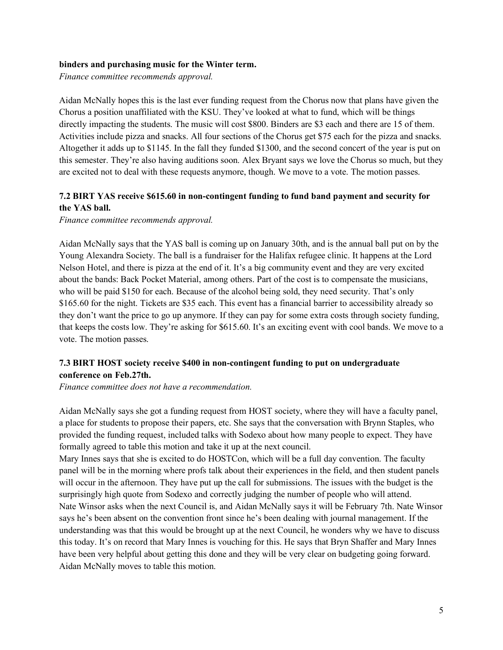#### **binders and purchasing music for the Winter term.**

*Finance committee recommends approval.* 

Aidan McNally hopes this is the last ever funding request from the Chorus now that plans have given the Chorus a position unaffiliated with the KSU. They've looked at what to fund, which will be things directly impacting the students. The music will cost \$800. Binders are \$3 each and there are 15 of them. Activities include pizza and snacks. All four sections of the Chorus get \$75 each for the pizza and snacks. Altogether it adds up to \$1145. In the fall they funded \$1300, and the second concert of the year is put on this semester. They're also having auditions soon. Alex Bryant says we love the Chorus so much, but they are excited not to deal with these requests anymore, though. We move to a vote. The motion passes.

### **7.2 BIRT YAS receive \$615.60 in non-contingent funding to fund band payment and security for the YAS ball.**

*Finance committee recommends approval.*

Aidan McNally says that the YAS ball is coming up on January 30th, and is the annual ball put on by the Young Alexandra Society. The ball is a fundraiser for the Halifax refugee clinic. It happens at the Lord Nelson Hotel, and there is pizza at the end of it. It's a big community event and they are very excited about the bands: Back Pocket Material, among others. Part of the cost is to compensate the musicians, who will be paid \$150 for each. Because of the alcohol being sold, they need security. That's only \$165.60 for the night. Tickets are \$35 each. This event has a financial barrier to accessibility already so they don't want the price to go up anymore. If they can pay for some extra costs through society funding, that keeps the costs low. They're asking for \$615.60. It's an exciting event with cool bands. We move to a vote. The motion passes.

### **7.3 BIRT HOST society receive \$400 in non-contingent funding to put on undergraduate conference on Feb.27th.**

*Finance committee does not have a recommendation.*

Aidan McNally says she got a funding request from HOST society, where they will have a faculty panel, a place for students to propose their papers, etc. She says that the conversation with Brynn Staples, who provided the funding request, included talks with Sodexo about how many people to expect. They have formally agreed to table this motion and take it up at the next council.

Mary Innes says that she is excited to do HOSTCon, which will be a full day convention. The faculty panel will be in the morning where profs talk about their experiences in the field, and then student panels will occur in the afternoon. They have put up the call for submissions. The issues with the budget is the surprisingly high quote from Sodexo and correctly judging the number of people who will attend. Nate Winsor asks when the next Council is, and Aidan McNally says it will be February 7th. Nate Winsor says he's been absent on the convention front since he's been dealing with journal management. If the understanding was that this would be brought up at the next Council, he wonders why we have to discuss this today. It's on record that Mary Innes is vouching for this. He says that Bryn Shaffer and Mary Innes have been very helpful about getting this done and they will be very clear on budgeting going forward. Aidan McNally moves to table this motion.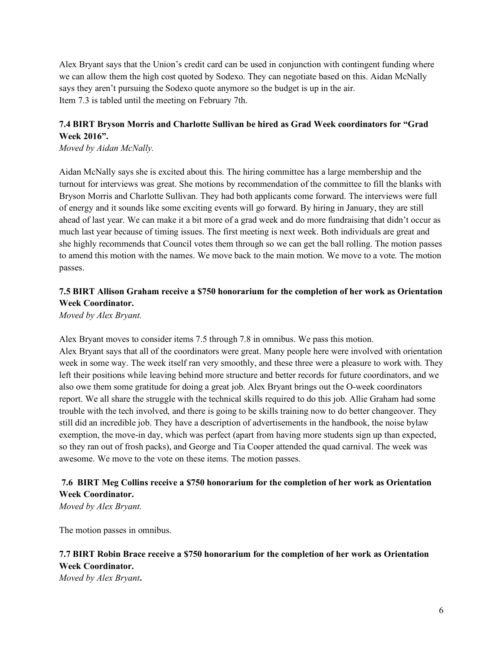Alex Bryant says that the Union's credit card can be used in conjunction with contingent funding where we can allow them the high cost quoted by Sodexo. They can negotiate based on this. Aidan McNally says they aren't pursuing the Sodexo quote anymore so the budget is up in the air. Item 7.3 is tabled until the meeting on February 7th.

## **7.4 BIRT Bryson Morris and Charlotte Sullivan be hired as Grad Week coordinators for "Grad Week 2016".**

*Moved by Aidan McNally.*

Aidan McNally says she is excited about this. The hiring committee has a large membership and the turnout for interviews was great. She motions by recommendation of the committee to fill the blanks with Bryson Morris and Charlotte Sullivan. They had both applicants come forward. The interviews were full of energy and it sounds like some exciting events will go forward. By hiring in January, they are still ahead of last year. We can make it a bit more of a grad week and do more fundraising that didn't occur as much last year because of timing issues. The first meeting is next week. Both individuals are great and she highly recommends that Council votes them through so we can get the ball rolling. The motion passes to amend this motion with the names. We move back to the main motion. We move to a vote. The motion passes.

### **7.5 BIRT Allison Graham receive a \$750 honorarium for the completion of her work as Orientation Week Coordinator.**

*Moved by Alex Bryant.*

Alex Bryant moves to consider items 7.5 through 7.8 in omnibus. We pass this motion. Alex Bryant says that all of the coordinators were great. Many people here were involved with orientation week in some way. The week itself ran very smoothly, and these three were a pleasure to work with. They left their positions while leaving behind more structure and better records for future coordinators, and we also owe them some gratitude for doing a great job. Alex Bryant brings out the O-week coordinators report. We all share the struggle with the technical skills required to do this job. Allie Graham had some trouble with the tech involved, and there is going to be skills training now to do better changeover. They still did an incredible job. They have a description of advertisements in the handbook, the noise bylaw exemption, the move-in day, which was perfect (apart from having more students sign up than expected, so they ran out of frosh packs), and George and Tia Cooper attended the quad carnival. The week was awesome. We move to the vote on these items. The motion passes.

### **7.6 BIRT Meg Collins receive a \$750 honorarium for the completion of her work as Orientation Week Coordinator.**

*Moved by Alex Bryant.*

The motion passes in omnibus.

# **7.7 BIRT Robin Brace receive a \$750 honorarium for the completion of her work as Orientation Week Coordinator.**

*Moved by Alex Bryant***.**